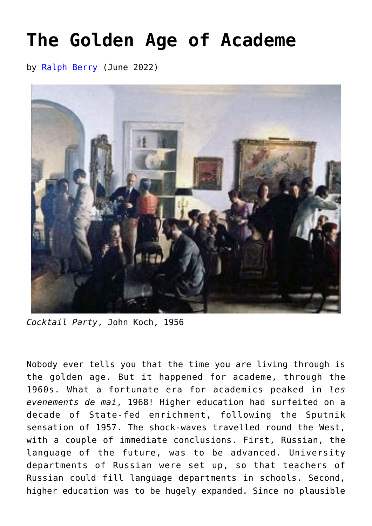## **[The Golden Age of Academe](https://www.newenglishreview.org/articles/the-golden-age-of-academe/)**

by [Ralph Berry](https://www.newenglishreview.org/authors/ralph-berry/) (June 2022)



*Cocktail Party*, John Koch, 1956

Nobody ever tells you that the time you are living through is the golden age. But it happened for academe, through the 1960s. What a fortunate era for academics peaked in *les evenements de mai*, 1968! Higher education had surfeited on a decade of State-fed enrichment, following the Sputnik sensation of 1957. The shock-waves travelled round the West, with a couple of immediate conclusions. First, Russian, the language of the future, was to be advanced. University departments of Russian were set up, so that teachers of Russian could fill language departments in schools. Second, higher education was to be hugely expanded. Since no plausible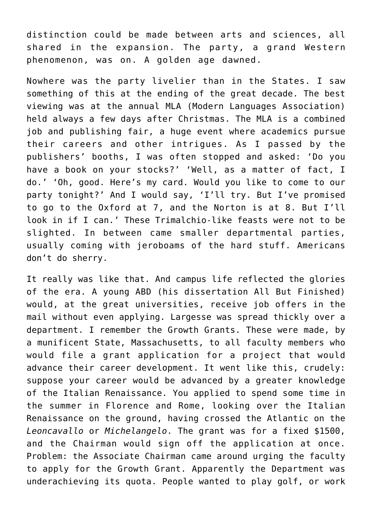distinction could be made between arts and sciences, all shared in the expansion. The party, a grand Western phenomenon, was on. A golden age dawned.

Nowhere was the party livelier than in the States. I saw something of this at the ending of the great decade. The best viewing was at the annual MLA (Modern Languages Association) held always a few days after Christmas. The MLA is a combined job and publishing fair, a huge event where academics pursue their careers and other intrigues. As I passed by the publishers' booths, I was often stopped and asked: 'Do you have a book on your stocks?' 'Well, as a matter of fact, I do.' 'Oh, good. Here's my card. Would you like to come to our party tonight?' And I would say, 'I'll try. But I've promised to go to the Oxford at 7, and the Norton is at 8. But I'll look in if I can.' These Trimalchio-like feasts were not to be slighted. In between came smaller departmental parties, usually coming with jeroboams of the hard stuff. Americans don't do sherry.

It really was like that. And campus life reflected the glories of the era. A young ABD (his dissertation All But Finished) would, at the great universities, receive job offers in the mail without even applying. Largesse was spread thickly over a department. I remember the Growth Grants. These were made, by a munificent State, Massachusetts, to all faculty members who would file a grant application for a project that would advance their career development. It went like this, crudely: suppose your career would be advanced by a greater knowledge of the Italian Renaissance. You applied to spend some time in the summer in Florence and Rome, looking over the Italian Renaissance on the ground, having crossed the Atlantic on the *Leoncavallo* or *Michelangelo*. The grant was for a fixed \$1500, and the Chairman would sign off the application at once. Problem: the Associate Chairman came around urging the faculty to apply for the Growth Grant. Apparently the Department was underachieving its quota. People wanted to play golf, or work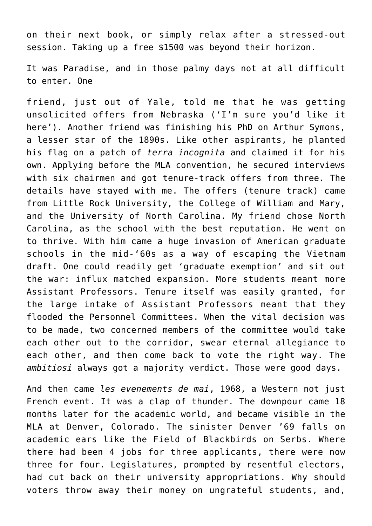on their next book, or simply relax after a stressed-out session. Taking up a free \$1500 was beyond their horizon.

It was Paradise, and in those palmy days not at all difficult to enter. One

friend, just out of Yale, told me that he was getting unsolicited offers from Nebraska ('I'm sure you'd like it here'). Another friend was finishing his PhD on Arthur Symons, a lesser star of the 1890s. Like other aspirants, he planted his flag on a patch of *terra incognita* and claimed it for his own. Applying before the MLA convention, he secured interviews with six chairmen and got tenure-track offers from three. The details have stayed with me. The offers (tenure track) came from Little Rock University, the College of William and Mary, and the University of North Carolina. My friend chose North Carolina, as the school with the best reputation. He went on to thrive. With him came a huge invasion of American graduate schools in the mid-'60s as a way of escaping the Vietnam draft. One could readily get 'graduate exemption' and sit out the war: influx matched expansion. More students meant more Assistant Professors. Tenure itself was easily granted, for the large intake of Assistant Professors meant that they flooded the Personnel Committees. When the vital decision was to be made, two concerned members of the committee would take each other out to the corridor, swear eternal allegiance to each other, and then come back to vote the right way. The *ambitiosi* always got a majority verdict. Those were good days.

And then came *les evenements de mai*, 1968, a Western not just French event. It was a clap of thunder. The downpour came 18 months later for the academic world, and became visible in the MLA at Denver, Colorado. The sinister Denver '69 falls on academic ears like the Field of Blackbirds on Serbs. Where there had been 4 jobs for three applicants, there were now three for four. Legislatures, prompted by resentful electors, had cut back on their university appropriations. Why should voters throw away their money on ungrateful students, and,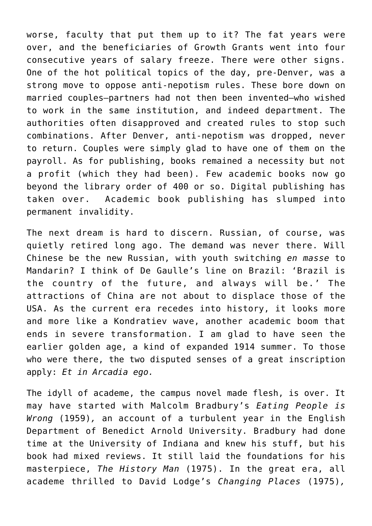worse, faculty that put them up to it? The fat years were over, and the beneficiaries of Growth Grants went into four consecutive years of salary freeze. There were other signs. One of the hot political topics of the day, pre-Denver, was a strong move to oppose anti-nepotism rules. These bore down on married couples—partners had not then been invented—who wished to work in the same institution, and indeed department. The authorities often disapproved and created rules to stop such combinations. After Denver, anti-nepotism was dropped, never to return. Couples were simply glad to have one of them on the payroll. As for publishing, books remained a necessity but not a profit (which they had been). Few academic books now go beyond the library order of 400 or so. Digital publishing has taken over. Academic book publishing has slumped into permanent invalidity.

The next dream is hard to discern. Russian, of course, was quietly retired long ago. The demand was never there. Will Chinese be the new Russian, with youth switching *en masse* to Mandarin? I think of De Gaulle's line on Brazil: 'Brazil is the country of the future, and always will be.' The attractions of China are not about to displace those of the USA. As the current era recedes into history, it looks more and more like a Kondratiev wave, another academic boom that ends in severe transformation. I am glad to have seen the earlier golden age, a kind of expanded 1914 summer. To those who were there, the two disputed senses of a great inscription apply: *Et in Arcadia ego.* 

The idyll of academe, the campus novel made flesh, is over. It may have started with Malcolm Bradbury's *Eating People is Wrong* (1959)*,* an account of a turbulent year in the English Department of Benedict Arnold University. Bradbury had done time at the University of Indiana and knew his stuff, but his book had mixed reviews. It still laid the foundations for his masterpiece, *The History Man* (1975). In the great era, all academe thrilled to David Lodge's *Changing Places* (1975)*,*